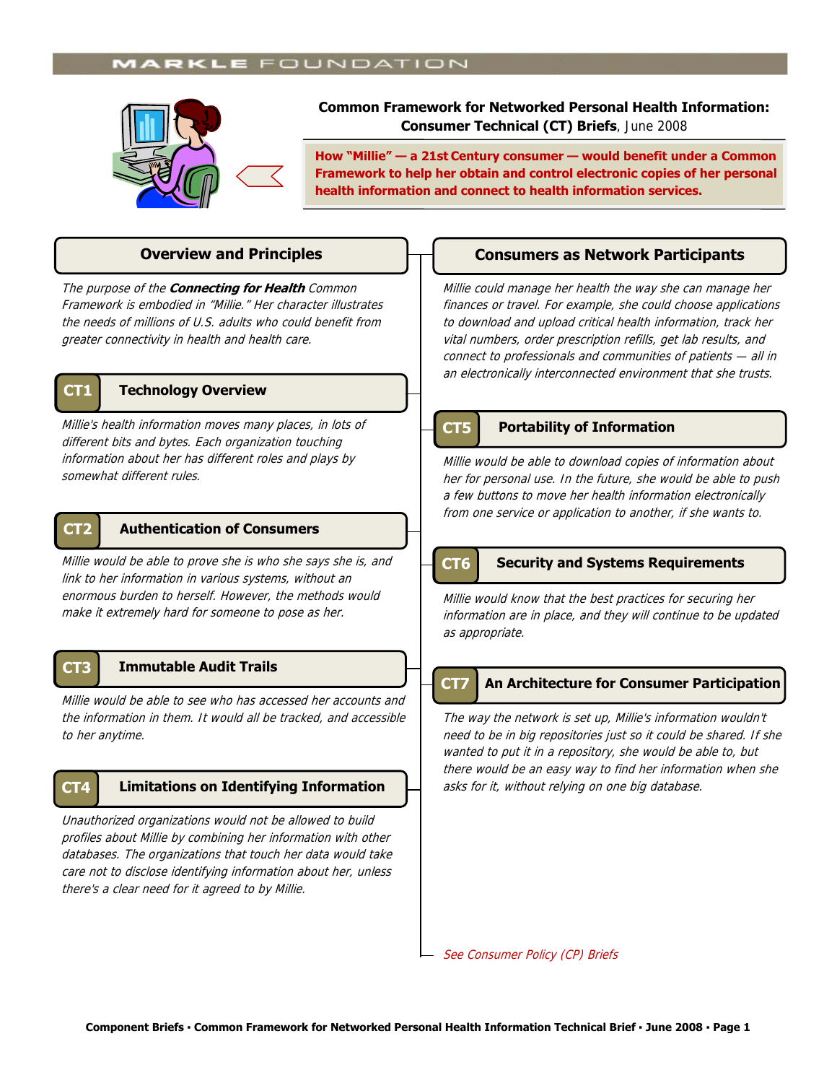# **MARKLE** FOUNDATION



**Common Framework for Networked Personal Health Information: Consumer Technical (CT) Briefs**, June 2008

**How "Millie" — a 21st Century consumer — would benefit under a Common Framework to help her obtain and control electronic copies of her personal health information and connect to health information services.** 

The purpose of the **Connecting for Health** Common Framework is embodied in "Millie." Her character illustrates the needs of millions of U.S. adults who could benefit from greater connectivity in health and health care.



### **CT1 Technology Overview**

Millie's health information moves many places, in lots of different bits and bytes. Each organization touching information about her has different roles and plays by somewhat different rules.

# **CT2 Authentication of Consumers**

Millie would be able to prove she is who she says she is, and link to her information in various systems, without an enormous burden to herself. However, the methods would make it extremely hard for someone to pose as her.

# **CT3 Immutable Audit Trails**

Millie would be able to see who has accessed her accounts and the information in them. It would all be tracked, and accessible to her anytime.

# **CT4**

Unauthorized organizations would not be allowed to build profiles about Millie by combining her information with other databases. The organizations that touch her data would take care not to disclose identifying information about her, unless there's a clear need for it agreed to by Millie.

# **Overview and Principles Consumers as Network Participants**

Millie could manage her health the way she can manage her finances or travel. For example, she could choose applications to download and upload critical health information, track her vital numbers, order prescription refills, get lab results, and connect to professionals and communities of patients — all in an electronically interconnected environment that she trusts.

### **CT5 Portability of Information**

Millie would be able to download copies of information about her for personal use. In the future, she would be able to push a few buttons to move her health information electronically from one service or application to another, if she wants to.

ľ

### **CT6 Security and Systems Requirements**

Millie would know that the best practices for securing her information are in place, and they will continue to be updated as appropriate.

### **An Architecture for Consumer Participation CT7**

The way the network is set up, Millie's information wouldn't need to be in big repositories just so it could be shared. If she wanted to put it in a repository, she would be able to, but there would be an easy way to find her information when she **Limitations on Identifying Information**  $\Box$  asks for it, without relying on one big database.

See Consumer Policy (CP) Briefs